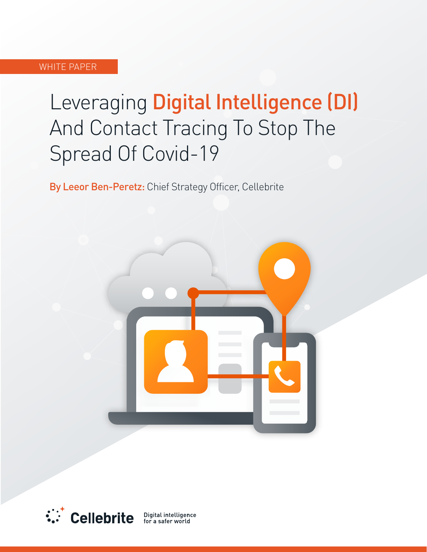## **WHITE PAPER**

# Leveraging Digital Intelligence (DI) And Contact Tracing To Stop The Spread Of Covid-19

By Leeor Ben-Peretz: Chief Strategy Officer, Cellebrite





Digital intelligence for a safer world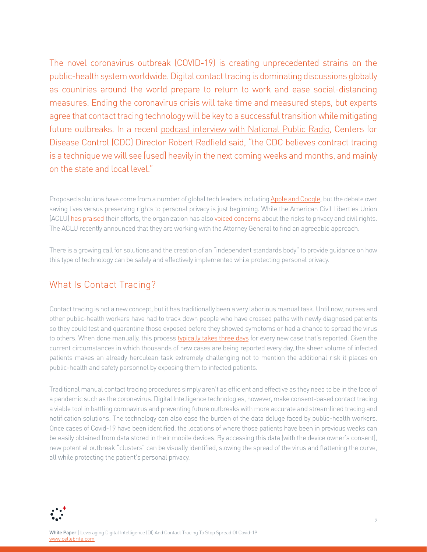The novel coronavirus outbreak (COVID-19) is creating unprecedented strains on the public-health system worldwide. Digital contact tracing is dominating discussions globally as countries around the world prepare to return to work and ease social-distancing measures. Ending the coronavirus crisis will take time and measured steps, but experts agree that contact tracing technology will be key to a successful transition while mitigating future outbreaks. In a recent podcast interview with National Public Radio, Centers for Disease Control (CDC) Director Robert Redfield said, "the CDC believes contract tracing is a technique we will see [used] heavily in the next coming weeks and months, and mainly on the state and local level."

Proposed solutions have come from a number of global tech leaders including Apple and Google, but the debate over saving lives versus preserving rights to personal privacy is just beginning. While the American Civil Liberties Union (ACLU)has praised their efforts, the organization has also voiced concerns about the risks to privacy and civil rights. The ACLU recently announced that they are working with the Attorney General to find an agreeable approach.

There is a growing call for solutions and the creation of an "independent standards body" to provide quidance on how this type of technology can be safely and effectively implemented while protecting personal privacy.

# What Is Contact Tracing?

Contact tracing is not a new concept, but it has traditionally been a very laborious manual task. Until now, nurses and other public-health workers have had to track down people who have crossed paths with newly diagnosed patients so they could test and quarantine those exposed before they showed symptoms or had a chance to spread the virus to others. When done manually, this process typically takes three days for every new case that's reported. Given the current circumstances in which thousands of new cases are being reported every day, the sheer volume of infected patients makes an already herculean task extremely challenging not to mention the additional risk it places on public-health and safety personnel by exposing them to infected patients.

Traditional manual contact tracing procedures simply aren't as efficient and effective as they need to be in the face of a pandemic such as the coronavirus. Digital Intelligence technologies, however, make consent-based contact tracing a viable tool in battling coronavirus and preventing future outbreaks with more accurate and streamlined tracing and notification solutions. The technology can also ease the burden of the data deluge faced by public-health workers. Once cases of Covid-19 have been identified, the locations of where those patients have been in previous weeks can be easily obtained from data stored in their mobile devices. By accessing this data (with the device owner's consent), new potential outbreak "clusters" can be visually identified, slowing the spread of the virus and flattening the curve, all while protecting the patient's personal privacy.

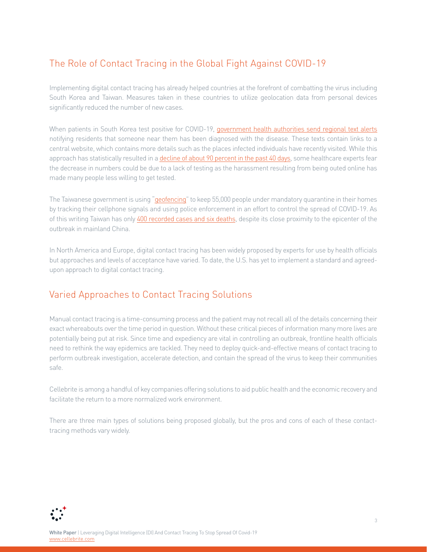# The Role of Contact Tracing in the Global Fight Against COVID-19

Implementing digital contact tracing has already helped countries at the forefront of combatting the virus including South Korea and Taiwan. Measures taken in these countries to utilize geolocation data from personal devices significantly reduced the number of new cases.

When patients in South Korea test positive for COVID-19, government health authorities send regional text alerts notifying residents that someone near them has been diagnosed with the disease. These texts contain links to a central website, which contains more details such as the places infected individuals have recently visited. While this approach has statistically resulted in a decline of about 90 percent in the past 40 days, some healthcare experts fear the decrease in numbers could be due to a lack of testing as the harassment resulting from being outed online has made many people less willing to get tested.

The Taiwanese government is using ["](https://qz.com/1825997/taiwan-phone-tracking-system-monitors-55000-under-coronavirus-quarantine/)[geofencing](https://qz.com/1825997/taiwan-phone-tracking-system-monitors-55000-under-coronavirus-quarantine/)" to keep 55,000 people under mandatory quarantine in their homes by tracking their cellphone signals and using police enforcement in an effort to control the spread of COVID-19. As of this writing Taiwan has only 400 recorded cases and six deaths, despite its close proximity to the epicenter of the outbreak in mainland China

In North America and Europe, digital contact tracing has been widely proposed by experts for use by health officials but approaches and levels of acceptance have varied. To date, the U.S. has yet to implement a standard and agreed-<br>upon approach to digital contact tracing.

# Varied Approaches to Contact Tracing Solutions

Manual contact tracing is a time-consuming process and the patient may not recall all of the details concerning their exact whereabouts over the time period in question. Without these critical pieces of information many more lives are potentially being put at risk. Since time and expediency are vital in controlling an outbreak, frontline health officials need to rethink the way epidemics are tackled. They need to deploy quick-and-effective means of contact tracing to perform outbreak investigation, accelerate detection, and contain the spread of the virus to keep their communities .safe

Cellebrite is among a handful of key companies offering solutions to aid public health and the economic recovery and facilitate the return to a more normalized work environment.

There are three main types of solutions being proposed globally, but the pros and cons of each of these contact-<br>tracing methods vary widely.

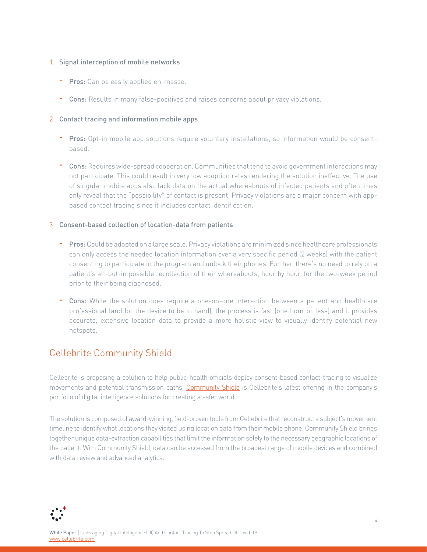#### 1. Signal interception of mobile networks

- **Pros:** Can be easily applied en-masse.
- <sup>-</sup> Cons: Results in many false-positives and raises concerns about privacy violations.

## 2. Contact tracing and information mobile apps

- **Pros:** Opt-in mobile app solutions require voluntary installations, so information would be consent-<br>based.
- <sup>-</sup> Cons: Requires wide-spread cooperation. Communities that tend to avoid government interactions may not participate. This could result in very low adoption rates rendering the solution ineffective. The use of singular mobile apps also lack data on the actual whereabouts of infected patients and oftentimes only reveal that the "possibility" of contact is present. Privacy violations are a major concern with app-<br>based contact tracing since it includes contact identification.

## 3. Consent-based collection of location-data from patients

- <sup>-</sup> Pros: Could be adopted on a large scale. Privacy violations are minimized since healthcare professionals can only access the needed location information over a very specific period (2 weeks) with the patient consenting to participate in the program and unlock their phones. Further, there's no need to rely on a patient's all-but-impossible recollection of their whereabouts, hour by hour, for the two-week period prior to their being diagnosed.
- <sup>-</sup> Cons: While the solution does require a one-on-one interaction between a patient and healthcare professional (and for the device to be in hand), the process is fast (one hour or less) and it provides accurate, extensive location data to provide a more holistic view to visually identify potential new hotspots.

# **Cellebrite Community Shield**

Cellebrite is proposing a solution to help public-health officials deploy consent-based contact-tracing to visualize movements and potential transmission paths. Community Shield is Cellebrite's latest offering in the company's portfolio of digital intelligence solutions for creating a safer world.

The solution is composed of award-winning, field-proven tools from Cellebrite that reconstruct a subject's movement timeline to identify what locations they visited using location data from their mobile phone. Community Shield brings together unique data-extraction capabilities that limit the information solely to the necessary geographic locations of the patient. With Community Shield, data can be accessed from the broadest range of mobile devices and combined with data review and advanced analytics.

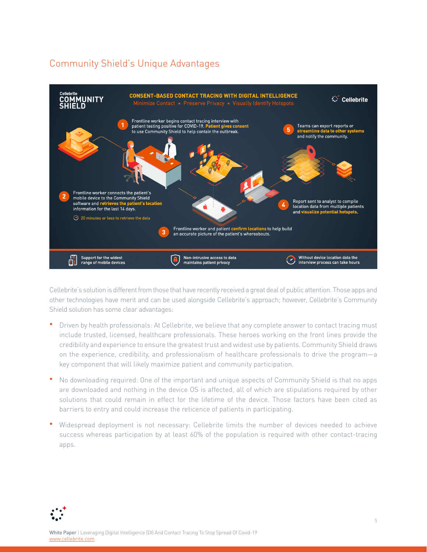## Community Shield's Unique Advantages



Cellebrite's solution is different from those that have recently received a great deal of public attention. Those apps and other technologies have merit and can be used alongside Cellebrite's approach; however, Cellebrite's Community Shield solution has some clear advantages:

- Driven by health professionals: At Cellebrite, we believe that any complete answer to contact tracing must include trusted, licensed, healthcare professionals. These heroes working on the front lines provide the credibility and experience to ensure the greatest trust and widest use by patients. Community Shield draws on the experience, credibility, and professionalism of healthcare professionals to drive the program-a key component that will likely maximize patient and community participation.
- No downloading required: One of the important and unique aspects of Community Shield is that no apps are downloaded and nothing in the device OS is affected, all of which are stipulations required by other solutions that could remain in effect for the lifetime of the device. Those factors have been cited as barriers to entry and could increase the reticence of patients in participating.
- Widespread deployment is not necessary: Cellebrite limits the number of devices needed to achieve success whereas participation by at least 60% of the population is required with other contact-tracing .apps

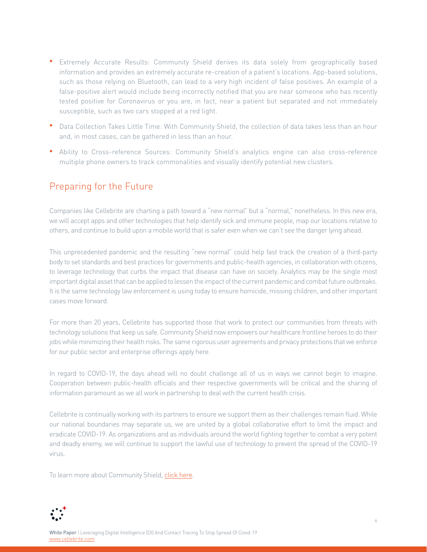- Extremely Accurate Results: Community Shield derives its data solely from geographically based information and provides an extremely accurate re-creation of a patient's locations. App-based solutions, such as those relying on Bluetooth, can lead to a very high incident of false positives. An example of a false-positive alert would include being incorrectly notified that you are near someone who has recently tested positive for Coronavirus or you are, in fact, near a patient but separated and not immediately susceptible, such as two cars stopped at a red light.
- Data Collection Takes Little Time: With Community Shield, the collection of data takes less than an hour and, in most cases, can be gathered in less than an hour.
- Ability to Cross-reference Sources: Community Shield's analytics engine can also cross-reference multiple phone owners to track commonalities and visually identify potential new clusters.

## Preparing for the Future

Companies like Cellebrite are charting a path toward a "new normal" but a "normal," nonetheless. In this new era, we will accept apps and other technologies that help identify sick and immune people, map our locations relative to others, and continue to build upon a mobile world that is safer even when we can't see the danger lying ahead.

This unprecedented pandemic and the resulting "new normal" could help fast track the creation of a third-party body to set standards and best practices for governments and public-health agencies, in collaboration with citizens, to leverage technology that curbs the impact that disease can have on society. Analytics may be the single most important digital asset that can be applied to lessen the impact of the current pandemic and combat future outbreaks. It is the same technology law enforcement is using today to ensure homicide, missing children, and other important cases move forward

For more than 20 years, Cellebrite has supported those that work to protect our communities from threats with technology solutions that keep us safe. Community Shield now empowers our healthcare frontline heroes to do their jobs while minimizing their health risks. The same rigorous user agreements and privacy protections that we enforce for our public sector and enterprise offerings apply here.

In regard to COVID-19, the days ahead will no doubt challenge all of us in ways we cannot begin to imagine. Cooperation between public-health officials and their respective governments will be critical and the sharing of information paramount as we all work in partnership to deal with the current health crisis.

Cellebrite is continually working with its partners to ensure we support them as their challenges remain fluid. While our national boundaries may separate us, we are united by a global collaborative effort to limit the impact and eradicate COVID-19. As organizations and as individuals around the world fighting together to combat a very potent and deadly enemy, we will continue to support the lawful use of technology to prevent the spread of the COVID-19 .virus

To learn more about Community Shield, click here.